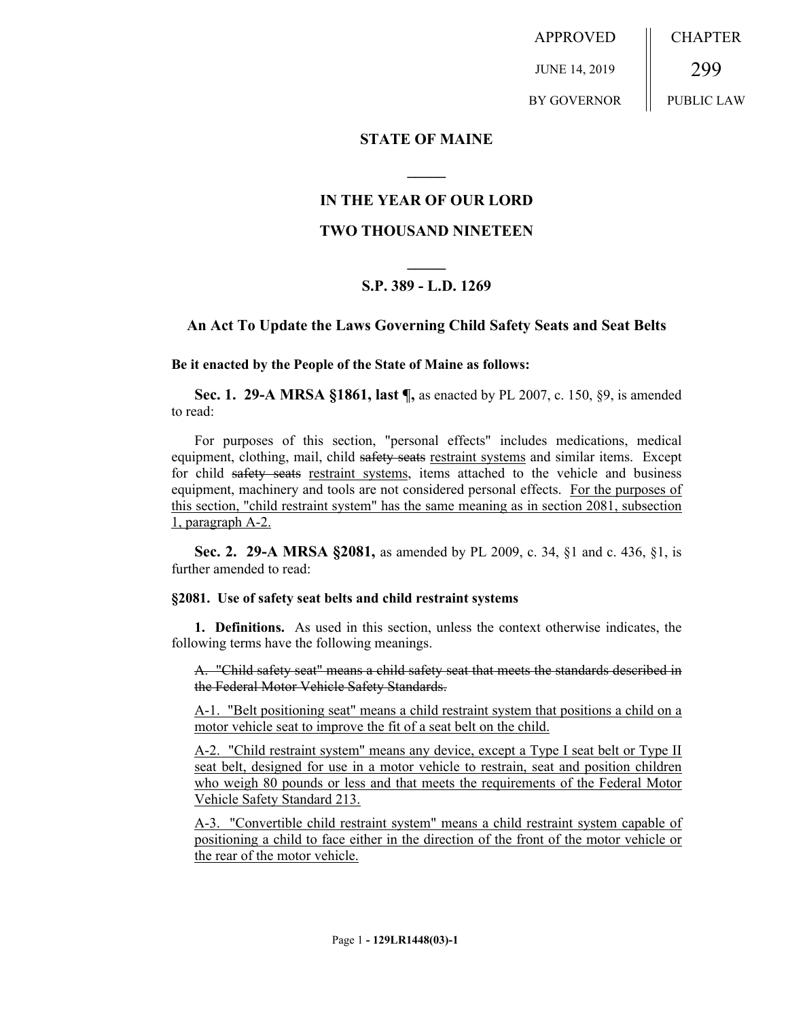APPROVED JUNE 14, 2019 BY GOVERNOR CHAPTER 299 PUBLIC LAW

## **STATE OF MAINE**

# **IN THE YEAR OF OUR LORD**

**\_\_\_\_\_**

# **TWO THOUSAND NINETEEN**

# **\_\_\_\_\_ S.P. 389 - L.D. 1269**

### **An Act To Update the Laws Governing Child Safety Seats and Seat Belts**

### **Be it enacted by the People of the State of Maine as follows:**

**Sec. 1. 29-A MRSA §1861, last ¶,** as enacted by PL 2007, c. 150, §9, is amended to read:

For purposes of this section, "personal effects" includes medications, medical equipment, clothing, mail, child safety seats restraint systems and similar items. Except for child safety seats restraint systems, items attached to the vehicle and business equipment, machinery and tools are not considered personal effects. For the purposes of this section, "child restraint system" has the same meaning as in section 2081, subsection 1, paragraph A-2.

**Sec. 2. 29-A MRSA §2081,** as amended by PL 2009, c. 34, §1 and c. 436, §1, is further amended to read:

### **§2081. Use of safety seat belts and child restraint systems**

**1. Definitions.** As used in this section, unless the context otherwise indicates, the following terms have the following meanings.

A. "Child safety seat" means a child safety seat that meets the standards described in the Federal Motor Vehicle Safety Standards.

A-1. "Belt positioning seat" means a child restraint system that positions a child on a motor vehicle seat to improve the fit of a seat belt on the child.

A-2. "Child restraint system" means any device, except a Type I seat belt or Type II seat belt, designed for use in a motor vehicle to restrain, seat and position children who weigh 80 pounds or less and that meets the requirements of the Federal Motor Vehicle Safety Standard 213.

A-3. "Convertible child restraint system" means a child restraint system capable of positioning a child to face either in the direction of the front of the motor vehicle or the rear of the motor vehicle.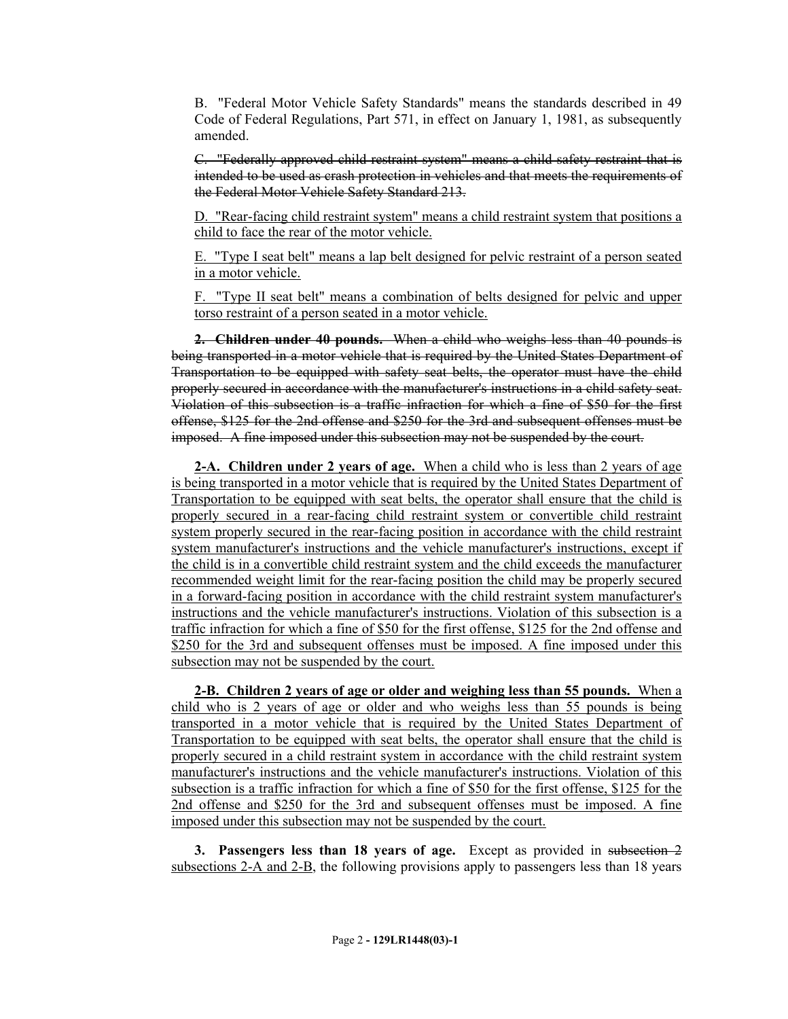B. "Federal Motor Vehicle Safety Standards" means the standards described in 49 Code of Federal Regulations, Part 571, in effect on January 1, 1981, as subsequently amended.

C. "Federally approved child restraint system" means a child safety restraint that is intended to be used as crash protection in vehicles and that meets the requirements of the Federal Motor Vehicle Safety Standard 213.

D. "Rear-facing child restraint system" means a child restraint system that positions a child to face the rear of the motor vehicle.

E. "Type I seat belt" means a lap belt designed for pelvic restraint of a person seated in a motor vehicle.

F. "Type II seat belt" means a combination of belts designed for pelvic and upper torso restraint of a person seated in a motor vehicle.

**2. Children under 40 pounds.** When a child who weighs less than 40 pounds is being transported in a motor vehicle that is required by the United States Department of Transportation to be equipped with safety seat belts, the operator must have the child properly secured in accordance with the manufacturer's instructions in a child safety seat. Violation of this subsection is a traffic infraction for which a fine of \$50 for the first offense, \$125 for the 2nd offense and \$250 for the 3rd and subsequent offenses must be imposed. A fine imposed under this subsection may not be suspended by the court.

**2-A. Children under 2 years of age.** When a child who is less than 2 years of age is being transported in a motor vehicle that is required by the United States Department of Transportation to be equipped with seat belts, the operator shall ensure that the child is properly secured in a rear-facing child restraint system or convertible child restraint system properly secured in the rear-facing position in accordance with the child restraint system manufacturer's instructions and the vehicle manufacturer's instructions, except if the child is in a convertible child restraint system and the child exceeds the manufacturer recommended weight limit for the rear-facing position the child may be properly secured in a forward-facing position in accordance with the child restraint system manufacturer's instructions and the vehicle manufacturer's instructions. Violation of this subsection is a traffic infraction for which a fine of \$50 for the first offense, \$125 for the 2nd offense and \$250 for the 3rd and subsequent offenses must be imposed. A fine imposed under this subsection may not be suspended by the court.

**2-B. Children 2 years of age or older and weighing less than 55 pounds.** When a child who is 2 years of age or older and who weighs less than 55 pounds is being transported in a motor vehicle that is required by the United States Department of Transportation to be equipped with seat belts, the operator shall ensure that the child is properly secured in a child restraint system in accordance with the child restraint system manufacturer's instructions and the vehicle manufacturer's instructions. Violation of this subsection is a traffic infraction for which a fine of \$50 for the first offense, \$125 for the 2nd offense and \$250 for the 3rd and subsequent offenses must be imposed. A fine imposed under this subsection may not be suspended by the court.

**3. Passengers less than 18 years of age.** Except as provided in subsection 2 subsections 2-A and 2-B, the following provisions apply to passengers less than 18 years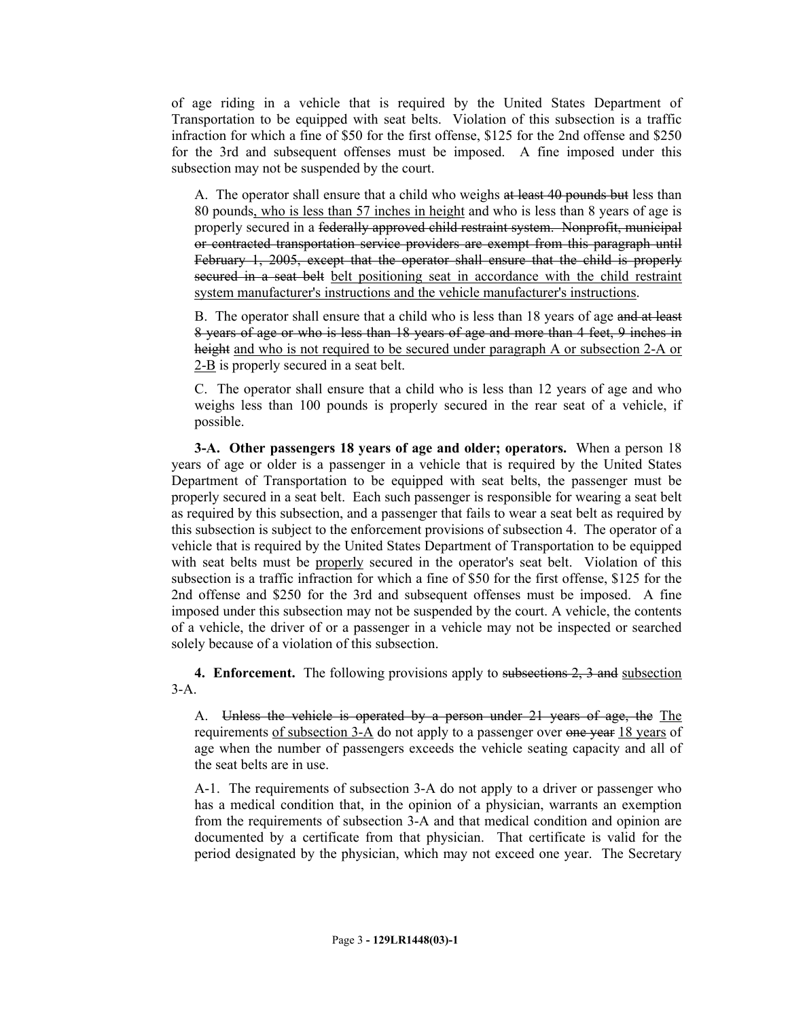of age riding in a vehicle that is required by the United States Department of Transportation to be equipped with seat belts. Violation of this subsection is a traffic infraction for which a fine of \$50 for the first offense, \$125 for the 2nd offense and \$250 for the 3rd and subsequent offenses must be imposed. A fine imposed under this subsection may not be suspended by the court.

A. The operator shall ensure that a child who weighs at least 40 pounds but less than 80 pounds, who is less than 57 inches in height and who is less than 8 years of age is properly secured in a federally approved child restraint system. Nonprofit, municipal or contracted transportation service providers are exempt from this paragraph until February 1, 2005, except that the operator shall ensure that the child is properly secured in a seat belt belt positioning seat in accordance with the child restraint system manufacturer's instructions and the vehicle manufacturer's instructions.

B. The operator shall ensure that a child who is less than 18 years of age and at least 8 years of age or who is less than 18 years of age and more than 4 feet, 9 inches in height and who is not required to be secured under paragraph A or subsection 2-A or 2-B is properly secured in a seat belt.

C. The operator shall ensure that a child who is less than 12 years of age and who weighs less than 100 pounds is properly secured in the rear seat of a vehicle, if possible.

**3-A. Other passengers 18 years of age and older; operators.** When a person 18 years of age or older is a passenger in a vehicle that is required by the United States Department of Transportation to be equipped with seat belts, the passenger must be properly secured in a seat belt. Each such passenger is responsible for wearing a seat belt as required by this subsection, and a passenger that fails to wear a seat belt as required by this subsection is subject to the enforcement provisions of subsection 4. The operator of a vehicle that is required by the United States Department of Transportation to be equipped with seat belts must be properly secured in the operator's seat belt. Violation of this subsection is a traffic infraction for which a fine of \$50 for the first offense, \$125 for the 2nd offense and \$250 for the 3rd and subsequent offenses must be imposed. A fine imposed under this subsection may not be suspended by the court. A vehicle, the contents of a vehicle, the driver of or a passenger in a vehicle may not be inspected or searched solely because of a violation of this subsection.

**4. Enforcement.** The following provisions apply to subsections 2, 3 and subsection 3-A.

A. Unless the vehicle is operated by a person under 21 years of age, the The requirements of subsection 3-A do not apply to a passenger over one year 18 years of age when the number of passengers exceeds the vehicle seating capacity and all of the seat belts are in use.

A-1. The requirements of subsection 3-A do not apply to a driver or passenger who has a medical condition that, in the opinion of a physician, warrants an exemption from the requirements of subsection 3-A and that medical condition and opinion are documented by a certificate from that physician. That certificate is valid for the period designated by the physician, which may not exceed one year. The Secretary